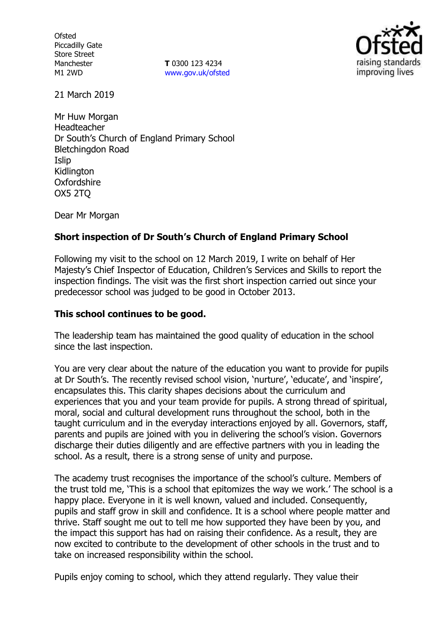**Ofsted** Piccadilly Gate Store Street Manchester M1 2WD

**T** 0300 123 4234 www.gov.uk/ofsted



21 March 2019

Mr Huw Morgan Headteacher Dr South's Church of England Primary School Bletchingdon Road Islip **Kidlington Oxfordshire** OX5 2TQ

Dear Mr Morgan

## **Short inspection of Dr South's Church of England Primary School**

Following my visit to the school on 12 March 2019, I write on behalf of Her Majesty's Chief Inspector of Education, Children's Services and Skills to report the inspection findings. The visit was the first short inspection carried out since your predecessor school was judged to be good in October 2013.

#### **This school continues to be good.**

The leadership team has maintained the good quality of education in the school since the last inspection.

You are very clear about the nature of the education you want to provide for pupils at Dr South's. The recently revised school vision, 'nurture', 'educate', and 'inspire', encapsulates this. This clarity shapes decisions about the curriculum and experiences that you and your team provide for pupils. A strong thread of spiritual, moral, social and cultural development runs throughout the school, both in the taught curriculum and in the everyday interactions enjoyed by all. Governors, staff, parents and pupils are joined with you in delivering the school's vision. Governors discharge their duties diligently and are effective partners with you in leading the school. As a result, there is a strong sense of unity and purpose.

The academy trust recognises the importance of the school's culture. Members of the trust told me, 'This is a school that epitomizes the way we work.' The school is a happy place. Everyone in it is well known, valued and included. Consequently, pupils and staff grow in skill and confidence. It is a school where people matter and thrive. Staff sought me out to tell me how supported they have been by you, and the impact this support has had on raising their confidence. As a result, they are now excited to contribute to the development of other schools in the trust and to take on increased responsibility within the school.

Pupils enjoy coming to school, which they attend regularly. They value their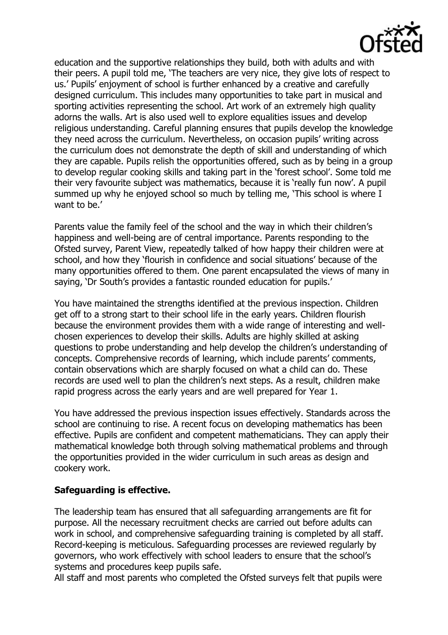

education and the supportive relationships they build, both with adults and with their peers. A pupil told me, 'The teachers are very nice, they give lots of respect to us.' Pupils' enjoyment of school is further enhanced by a creative and carefully designed curriculum. This includes many opportunities to take part in musical and sporting activities representing the school. Art work of an extremely high quality adorns the walls. Art is also used well to explore equalities issues and develop religious understanding. Careful planning ensures that pupils develop the knowledge they need across the curriculum. Nevertheless, on occasion pupils' writing across the curriculum does not demonstrate the depth of skill and understanding of which they are capable. Pupils relish the opportunities offered, such as by being in a group to develop regular cooking skills and taking part in the 'forest school'. Some told me their very favourite subject was mathematics, because it is 'really fun now'. A pupil summed up why he enjoyed school so much by telling me, 'This school is where I want to be.'

Parents value the family feel of the school and the way in which their children's happiness and well-being are of central importance. Parents responding to the Ofsted survey, Parent View, repeatedly talked of how happy their children were at school, and how they 'flourish in confidence and social situations' because of the many opportunities offered to them. One parent encapsulated the views of many in saying, 'Dr South's provides a fantastic rounded education for pupils.'

You have maintained the strengths identified at the previous inspection. Children get off to a strong start to their school life in the early years. Children flourish because the environment provides them with a wide range of interesting and wellchosen experiences to develop their skills. Adults are highly skilled at asking questions to probe understanding and help develop the children's understanding of concepts. Comprehensive records of learning, which include parents' comments, contain observations which are sharply focused on what a child can do. These records are used well to plan the children's next steps. As a result, children make rapid progress across the early years and are well prepared for Year 1.

You have addressed the previous inspection issues effectively. Standards across the school are continuing to rise. A recent focus on developing mathematics has been effective. Pupils are confident and competent mathematicians. They can apply their mathematical knowledge both through solving mathematical problems and through the opportunities provided in the wider curriculum in such areas as design and cookery work.

# **Safeguarding is effective.**

The leadership team has ensured that all safeguarding arrangements are fit for purpose. All the necessary recruitment checks are carried out before adults can work in school, and comprehensive safeguarding training is completed by all staff. Record-keeping is meticulous. Safeguarding processes are reviewed regularly by governors, who work effectively with school leaders to ensure that the school's systems and procedures keep pupils safe.

All staff and most parents who completed the Ofsted surveys felt that pupils were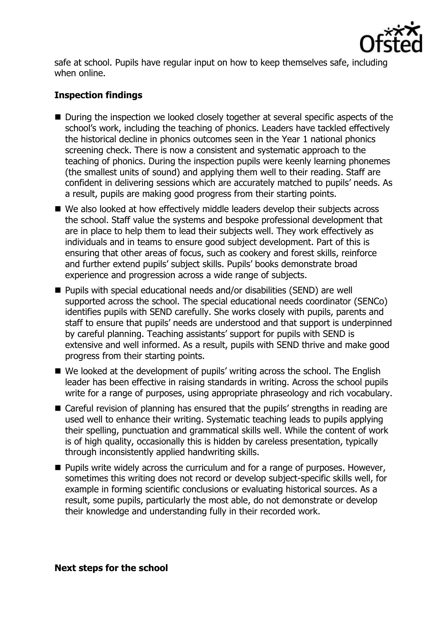

safe at school. Pupils have regular input on how to keep themselves safe, including when online.

# **Inspection findings**

- During the inspection we looked closely together at several specific aspects of the school's work, including the teaching of phonics. Leaders have tackled effectively the historical decline in phonics outcomes seen in the Year 1 national phonics screening check. There is now a consistent and systematic approach to the teaching of phonics. During the inspection pupils were keenly learning phonemes (the smallest units of sound) and applying them well to their reading. Staff are confident in delivering sessions which are accurately matched to pupils' needs. As a result, pupils are making good progress from their starting points.
- We also looked at how effectively middle leaders develop their subjects across the school. Staff value the systems and bespoke professional development that are in place to help them to lead their subjects well. They work effectively as individuals and in teams to ensure good subject development. Part of this is ensuring that other areas of focus, such as cookery and forest skills, reinforce and further extend pupils' subject skills. Pupils' books demonstrate broad experience and progression across a wide range of subjects.
- Pupils with special educational needs and/or disabilities (SEND) are well supported across the school. The special educational needs coordinator (SENCo) identifies pupils with SEND carefully. She works closely with pupils, parents and staff to ensure that pupils' needs are understood and that support is underpinned by careful planning. Teaching assistants' support for pupils with SEND is extensive and well informed. As a result, pupils with SEND thrive and make good progress from their starting points.
- We looked at the development of pupils' writing across the school. The English leader has been effective in raising standards in writing. Across the school pupils write for a range of purposes, using appropriate phraseology and rich vocabulary.
- Careful revision of planning has ensured that the pupils' strengths in reading are used well to enhance their writing. Systematic teaching leads to pupils applying their spelling, punctuation and grammatical skills well. While the content of work is of high quality, occasionally this is hidden by careless presentation, typically through inconsistently applied handwriting skills.
- $\blacksquare$  Pupils write widely across the curriculum and for a range of purposes. However, sometimes this writing does not record or develop subject-specific skills well, for example in forming scientific conclusions or evaluating historical sources. As a result, some pupils, particularly the most able, do not demonstrate or develop their knowledge and understanding fully in their recorded work.